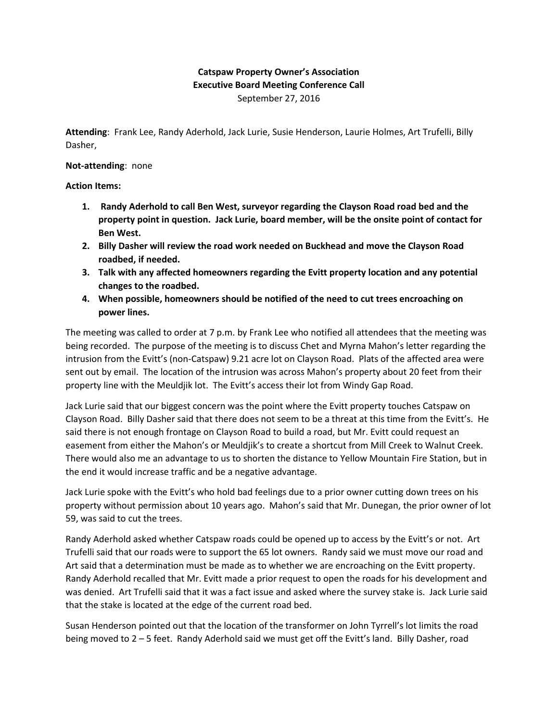## **Catspaw Property Owner's Association Executive Board Meeting Conference Call** September 27, 2016

**Attending**: Frank Lee, Randy Aderhold, Jack Lurie, Susie Henderson, Laurie Holmes, Art Trufelli, Billy Dasher,

## **Not-attending**: none

## **Action Items:**

- **1. Randy Aderhold to call Ben West, surveyor regarding the Clayson Road road bed and the property point in question. Jack Lurie, board member, will be the onsite point of contact for Ben West.**
- **2. Billy Dasher will review the road work needed on Buckhead and move the Clayson Road roadbed, if needed.**
- **3. Talk with any affected homeowners regarding the Evitt property location and any potential changes to the roadbed.**
- **4. When possible, homeowners should be notified of the need to cut trees encroaching on power lines.**

The meeting was called to order at 7 p.m. by Frank Lee who notified all attendees that the meeting was being recorded. The purpose of the meeting is to discuss Chet and Myrna Mahon's letter regarding the intrusion from the Evitt's (non-Catspaw) 9.21 acre lot on Clayson Road. Plats of the affected area were sent out by email. The location of the intrusion was across Mahon's property about 20 feet from their property line with the Meuldjik lot. The Evitt's access their lot from Windy Gap Road.

Jack Lurie said that our biggest concern was the point where the Evitt property touches Catspaw on Clayson Road. Billy Dasher said that there does not seem to be a threat at this time from the Evitt's. He said there is not enough frontage on Clayson Road to build a road, but Mr. Evitt could request an easement from either the Mahon's or Meuldjik's to create a shortcut from Mill Creek to Walnut Creek. There would also me an advantage to us to shorten the distance to Yellow Mountain Fire Station, but in the end it would increase traffic and be a negative advantage.

Jack Lurie spoke with the Evitt's who hold bad feelings due to a prior owner cutting down trees on his property without permission about 10 years ago. Mahon's said that Mr. Dunegan, the prior owner of lot 59, was said to cut the trees.

Randy Aderhold asked whether Catspaw roads could be opened up to access by the Evitt's or not. Art Trufelli said that our roads were to support the 65 lot owners. Randy said we must move our road and Art said that a determination must be made as to whether we are encroaching on the Evitt property. Randy Aderhold recalled that Mr. Evitt made a prior request to open the roads for his development and was denied. Art Trufelli said that it was a fact issue and asked where the survey stake is. Jack Lurie said that the stake is located at the edge of the current road bed.

Susan Henderson pointed out that the location of the transformer on John Tyrrell's lot limits the road being moved to 2 – 5 feet. Randy Aderhold said we must get off the Evitt's land. Billy Dasher, road